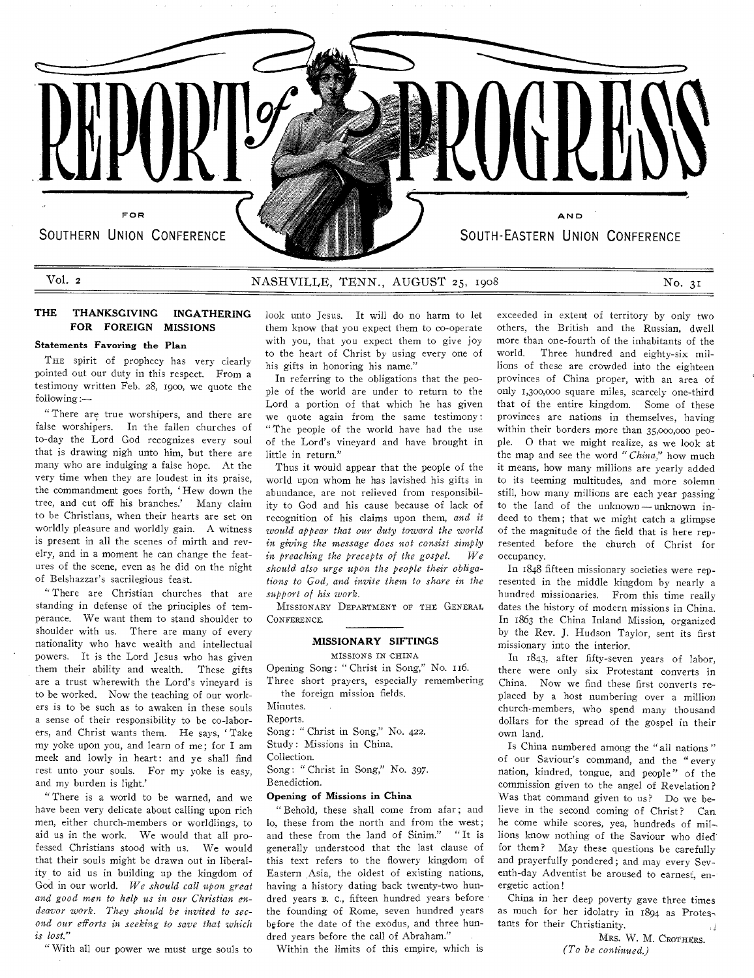

# Vol. 2 NASHVILLE, TENN., AUGUST 25, 1908 No. 31

**THE THANKSGIVING INGATHERING FOR FOREIGN MISSIONS** 

#### **Statements Favoring the Plan**

THE spirit of prophecy has very clearly pointed out our duty in this respect. From a testimony written Feb. 28, 190o, we quote the following:—

" There are true worshipers, and there are false worshipers. In the fallen churches of to-day the Lord God recognizes every soul that is drawing nigh unto him, but there are many who are indulging a false hope. At the very time when they are loudest in its praise, the commandment goes forth, ' Hew down the tree, and cut off his branches.' Many claim to be Christians, when their hearts are set on worldly pleasure and worldly gain. A witness is present in all the scenes of mirth and revelry, and in a moment he can change the features of the scene, even as he did on the night of Belshazzar's sacrilegious feast.

" There are Christian churches that are standing in defense of the principles of temperance. We want them to stand shoulder to shoulder with us. There are many of every nationality who have wealth and intellectual powers. It is the Lord Jesus who has given them their ability and wealth. These gifts are a trust wherewith the Lord's vineyard is to be worked. Now the teaching of our workers is to be such as to awaken in these souls a sense of their responsibility to be co-laborers, and Christ wants them. He says, ' Take my yoke upon you, and learn of me; for I am meek and lowly in heart: and ye shall find rest unto your souls. For my yoke is easy, and my burden is light.'

" There is a world to be warned, and we have been very delicate about calling upon rich men, either church-members or worldlings, to aid us in the work. We would that all professed Christians stood with us. We would that their souls might be drawn out in liberality to aid us in building up the kingdom of God in our world. We *should call upon great and good men to help us in our Christian endeavor work. They should be invited to second our efforts in seeking to save that which is lost."* 

" With all our power we must urge souls to

look unto Jesus. It will do no harm to let them know that you expect them to co-operate with you, that you expect them to give joy to the heart of Christ by using every one of his gifts in honoring his name.'

In referring to the obligations that the people of the world are under to return to the Lord a portion of that which he has given we quote again from the same testimony : "The people of the world have had the use of the Lord's vineyard and have brought in little in return."

Thus it would appear that the people of the world upon whom he has lavished his gifts in abundance, are not relieved from responsibility to God and his cause because of lack of recognition of his claims upon them, *and it would appear that our duty toward the world in giving the message does not consist simply in preaching the precepts of the gospel. We should also urge upon the people their obligations to God, and invite them to share in the support of his work.* 

MISSIONARY DEPARTMENT OF THE GENERAL CONFERENCE.

### **MISSIONARY SIFTINGS**

MISSIONS IN CHINA

Opening Song: " Christ in Song," No. 116. Three short prayers, especially remembering the foreign mission fields.

Minutes.

Reports.

Song: " Christ in Song," No. 422.

Study : Missions in China.

Collection.

Song: " Christ in Song," No. 397. Benediction.

#### **Opening of Missions in China**

"Behold, these shall come from afar; and lo, these from the north and from the west; and these from the land of Sinim." "It is generally understood that the last clause of this text refers to the flowery kingdom of Eastern Asia, the oldest of existing nations, having a history dating back twenty-two hundred years B. c., fifteen hundred years before the founding of Rome, seven hundred years before the date of the exodus, and three hundred years before the call of Abraham."

Within the limits of this empire, which is

exceeded in extent of territory by only two others, the British and the Russian, dwell more than one-fourth of the inhabitants of the world. Three hundred and eighty-six millions of these are crowded into the eighteen provinces of China proper, with an area of only 1,300,000 square miles, scarcely one-third that of the entire kingdom. Some of these provinces are nations in themselves, having within their borders more than 35,000,00o people. 0 that we might realize, as we look at the map and see the word *"China,"* how much it means, how many millions are yearly added to its teeming multitudes, and more solemn still, how many millions are each year passing to the land of the unknown— unknown indeed to them; that we might catch a glimpse of the magnitude of the field that is here represented before the church of Christ for occupancy.

In 1848 fifteen missionary societies were represented in the middle kingdom by nearly a hundred missionaries. From this time really dates the history of modern missions in China. In 1863 the China Inland Mission, organized by the Rev. J. Hudson Taylor, sent its first missionary into the interior.

In 1843, after fifty-seven years of labor, there were only six Protestant converts in China. Now we find these first converts replaced by a host numbering over a million church-members, who spend many thousand dollars for the spread of the gospel in their own land.

Is China numbered among the " all nations " of our Saviour's command, and the " every nation, kindred, tongue, and people " of the commission given to the angel of Revelation ? Was that command given to us? Do we believe in the second coming of Christ? Can he come while scores, yea, hundreds of mil lions know nothing of the Saviour who died for them? May these questions be carefully and prayerfully pondered; and may every Seventh-day Adventist be aroused to earnest, energetic action!

China in her deep poverty gave three times as much for her idolatry in 1894 as Protestants for their Christianity.

MRS. W. M. CROTHERS. *(To be continued.)*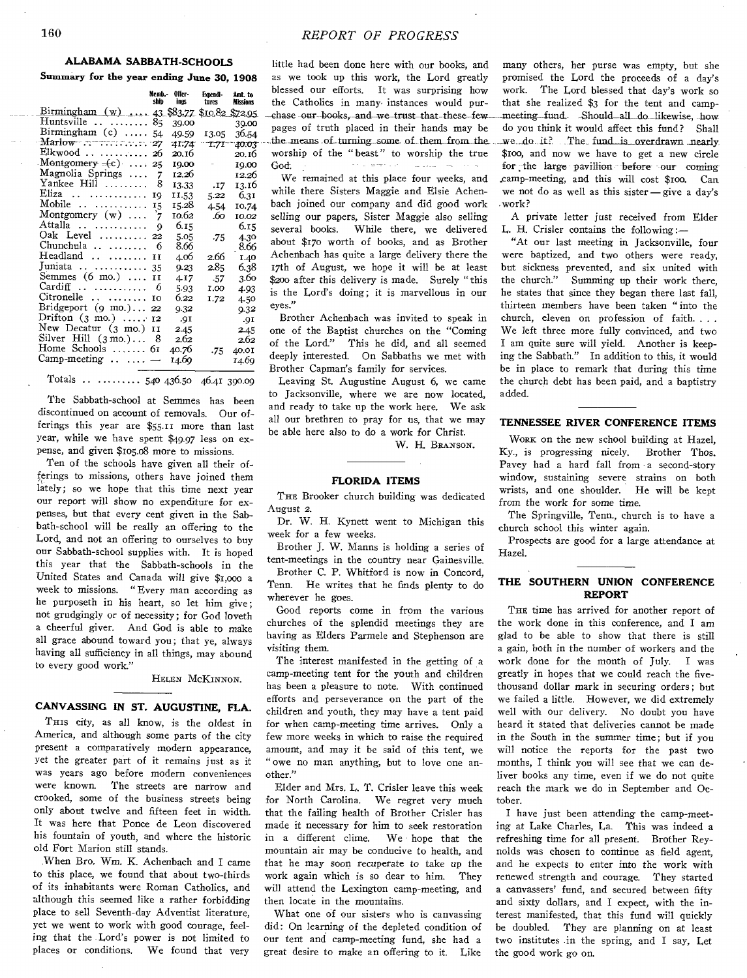#### **ALABAMA SABBATH-SCHOOLS Summary for the year ending June 30, 1908**

|                                            | Memb. -<br>shin | Oifer -<br>ings | Expendi-<br>tures | Amt. to<br><b>Missions</b> |
|--------------------------------------------|-----------------|-----------------|-------------------|----------------------------|
| Birmingham (w)  43 \$83.77 \$10.82 \$72.95 |                 |                 |                   |                            |
| Huntsville $\dots \dots \dots$ 85          |                 | 39.00           |                   | 39.00                      |
| Birmingham (c)  54                         |                 | 49.59           | 13.05             | 36.54                      |
| $\text{Marlow}$ 27                         |                 |                 | 41.74 T.71        | 40.03                      |
| Elkwood   26                               |                 | 20.16           |                   | 20.16                      |
| Montgomery $=(c)$ 25                       |                 | 10.00           | $\sim$            | 19.00                      |
| Magnolia Springs                           | 7               | 12.26           |                   | 12.26                      |
| Yankee Hill                                | 8               | 13.33           | .17               | 13.16                      |
| Eliza                                      | 19              | 11.53           | 5.22              | 6.3I                       |
| Mobile                                     | 15              | 15.28           | 4.54              | 10.74                      |
| Montgomery $(w)$                           | 7               | 10.62           | .60               | 10.02                      |
| Attalla                                    | Q               | 6.15            |                   | 6.15                       |
| Oak Level  22                              |                 | 5.05            | .75               | 4.30                       |
| Chunchula                                  | 6               | 8.66            |                   | 8.66                       |
| Headland                                   | H               | 4.06            | 2.66              | 1.40                       |
| Juniata   35                               |                 | 9.23            | 2.85.             | 6.38                       |
| Semmes $(6 \text{ mo.}) \dots$             | II              | 4.17            | .57               | 3.60                       |
| $Cardiff$                                  | 6               | 5.93            | 1.00              | 4.93                       |
| $Citronelle$                               | IO              | 6.22            | I.72              | 4.50                       |
| Bridgeport $(g \text{ mo.}) \dots$ 22      |                 | 9.32            |                   | 9.32                       |
| Drifton $(3 \text{ mo.}) \dots 12$         |                 | .qI             |                   | .91                        |
| New Decatur (3 mo.)                        | II              | 2.45            |                   | 2.45                       |
| Silver Hill $(3 \text{ mo.})$              | 8               | 2.62            |                   | 2.62                       |
| Home Schools  61                           |                 | 40.76           | -75               | 40.01                      |
| $\text{Comp-mecting} \dots \dots -$        |                 | 14.69           |                   | 14.69                      |

Totals .. ........ 540 436.50 46.41 390.09

The Sabbath-school at Semmes has been discontinued on account of removals. Our offerings this year are \$55.11 more than last year, while we have spent \$49.97 less on expense, and given \$105.08 more to missions.

Ten of the schools have given all their offerings to missions, others have joined them lately; so we hope that this time next year our report will show no expenditure for expenses, but that every cent given in the Sabbath-school will be really an offering to the Lord, and not an offering to ourselves to buy our Sabbath-school supplies with. It is hoped this year that the Sabbath-schools in the United States and Canada will give \$1,000 a week to missions. "Every man according as he purposeth in his heart, so let him give; not grudgingly or of necessity; for God loveth a cheerful giver. And God is able to make all grace abound toward you; that ye, always having all sufficiency in all things, may abound to every good work."

HELEN MCKINNON.

#### **CANVASSING IN ST. AUGUSTINE, FLA.**

THIS city, as all know, is the oldest in America, and although some parts of the city present a comparatively modern appearance, yet the greater part of it remains just as it was years ago before modern conveniences were known. The streets are narrow and crooked, some of the business streets being only about twelve and fifteen feet in width. It was here that Ponce de Leon discovered his fountain of youth, and where the historic old Fort Marion still stands.

When Bro. Wm. K. Achenbach and I came to this place, we found that about two-thirds of its inhabitants were Roman Catholics, and although this seemed like a rather forbidding place to sell Seventh-day Adventist literature, yet we went to work with good courage, feeling that the Lord's power is not limited to places or conditions. We found that very

little had been done here with our books, and as we took up this work, the Lord greatly blessed our efforts. It was surprising how the Catholics in many- instances would pur- -chase our books, and we trust that these few pages of truth placed in their hands may be . the means of turning some of them from the worship of the " beast" to worship the true God. a comercial  $\tau_{\rm{max}}=2.5$  and  $\sim$ 

We remained at this place four weeks, and while there Sisters Maggie and Elsie Achenbach joined our company and did good work selling our papers, Sister Maggie also selling several books. While there, we delivered about \$170 worth of books, and as Brother Achenbach has quite a large delivery there the 17th of August, we hope it will be at least \$200 after this delivery is made. Surely "this is the Lord's doing; it is marvellous in our eyes."

Brother Achenbach was invited to speak in one of the Baptist churches on the "Coming of the Lord." This he did, and all seemed deeply interested. On Sabbaths we met with Brother Capman's family for services.

Leaving St. Augustine August 6, we came to Jacksonville, where we are now located, and ready to take up the work here. We ask all our brethren to pray for us, that we may be able here also to do a work for Christ.

W. H. BRANSON.

#### **FLORIDA ITEMS**

THE Brooker church building was dedicated August 2.

Dr. W. H. Kynett went to Michigan this week for a few weeks.

Brother J. W. Manns is holding a series of tent-meetings in the country near Gainesville.

Brother C. P. Whitford is now in Concord, Tenn. He writes that he finds plenty to do wherever he goes.

Good reports come in from the various churches of the splendid meetings they are having as Elders Parmele and Stephenson are visiting them.

The interest manifested in the getting of a camp-meeting tent for the youth and children has been a pleasure to note. With continued efforts and perseverance on the part of the children and youth, they may have a tent paid for when camp-meeting time arrives. Only a few more weeks in which to raise the required amount, and may it be said of this tent, we " owe no man anything, but to love one another."

Elder and Mrs. L. T. Crisler leave this week for North Carolina. We regret very much that the failing health of Brother Crisler has made it necessary for him to seek restoration in a different clime. We hope that the mountain air may be conducive to health, and that he may soon recuperate to take up the work again which is so dear to him. They will attend the Lexington camp-meeting, and then locate in the mountains.

What one of our sisters who is canvassing did : On learning of the depleted condition of our tent and camp-meeting fund, she had a great desire to make an offering to it. Like

many others, her purse was empty, but she promised the Lord the proceeds of a day's work. The Lord blessed that day's work so that she realized \$3 for the tent and camp meeting fund. Should all do likewise, how do you think it would affect this fund? Shall we do it? The fund is overdrawn nearly \$100, and now we have to get a new circle for the large pavillion before our coming .camp-meeting, and this will cost \$10o. Can we not do as well as this sister $-\text{give a day's}$ .work?

A private letter just received from Elder L. H. Crisler contains the following

"At our last meeting in Jacksonville, four were baptized, and two others were ready, but sickness prevented, and six united with the church." Summing up their work there, he states that since they began there last fall, thirteen members have been taken " into the church, eleven on profession of faith. . . . We left three more fully convinced, and two I am quite sure will yield. Another is keeping the Sabbath." In addition to this, it would be in place to remark that during this time the church debt has been paid, and a baptistry added.

#### **TENNESSEE RIVER CONFERENCE ITEMS**

WORK on the new school building at Hazel, Ky., is progressing nicely. Brother Thos. Pavey had a hard fall from a second-story window, sustaining severe strains on both wrists, and one shoulder. He will be kept from the work for some time.

The Springville, Tenn., church is to have a church school this winter again.

Prospects are good for a large attendance at Hazel.

#### **THE SOUTHERN UNION CONFERENCE REPORT**

THE time has arrived for another report of the work done in this conference, and I am glad to be able to show that there is still a gain, both in the number of workers and the work done for the month of July. I was greatly in hopes that we could reach the fivethousand dollar mark in securing orders ; but we failed a little. However, we did extremely well with our delivery. No doubt you have heard it stated that deliveries cannot be made in the South in the summer time; but if you will notice the reports for the past two months, I think you will see that we can deliver books any time, even if we do not quite reach the mark we do in September and October.

I have just been attending the camp-meeting at Lake Charles, La. This was indeed a refreshing time for all present. Brother Reynolds was chosen to continue as field agent, and he expects to enter into the work with renewed strength and courage. They started a canvassers' fund, and secured between fifty and sixty dollars, and I expect, with the interest manifested, that this fund will quickly be doubled. They are planning on at least two institutes in the spring, and I say, Let the good work go on.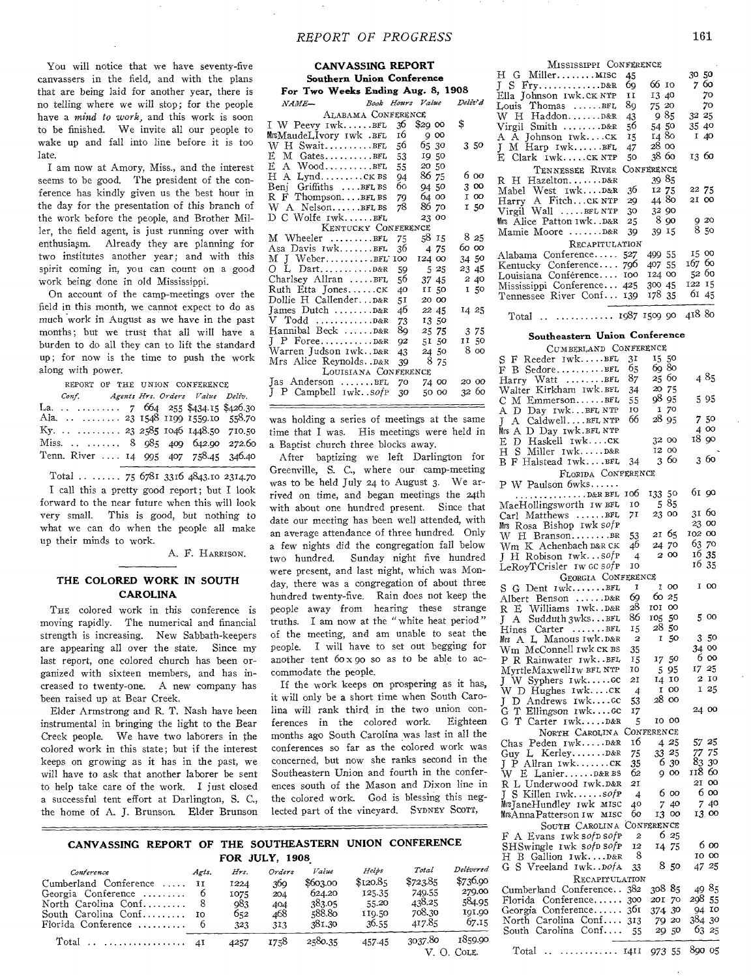**CANVASSING REPORT** 

You will notice that we have seventy-five canvassers in the field, and with the plans that are being laid for another year, there is no telling where we will stop; for the people have a *mind to work,* and this work is soon to be finished. We invite all our people to wake up and fall into line before it is too late.

I am now at Amory, Miss., and the interest seems to be good. The president of the conference has kindly given us the best hour in the day for the presentation of this branch of the work before the people, and Brother Miller, the field agent, is just running over with enthusiasm. Already they are planning for two institutes another year; and with this spirit coming in, you can count on a good work being done in old Mississippi.

On account of the camp-meetings over the field in this month, we cannot expect to do as much work in August as we have in the past months; but we trust that all will have a burden to do all they can to lift the standard up; for now is the time to push the work along with power.

REPORT OF THE UNION CONFERENCE *Conf. Agents Hrs. Orders Value Deily.*  La. . . . . . . . . . . 7 664 255 \$434.15 \$426.30 Ala. . . . . . . . . . 23 1548 1199 1559.10 558.70 Ky. . . . . . . . . . . . 23 2585 1046 1448.50 710.50 Miss. . . . . . . . . 8  $985$  409 642.90 272.60 Tenn. River .... 14 995 407 758.45 346.40

Total ...... 75 6781 3316 4843.10 2314.70 I call this a pretty good report; but I look forward to the near future when this will look very small. This is good, but nothing to what we can do when the people all make up their minds to work.

A. F. HARRISON.

### **THE COLORED WORK IN SOUTH CAROLINA**

THE colored work in this conference is moving rapidly. The numerical and financial strength is increasing. New Sabbath-keepers are appearing all over the state. Since my last report, one colored church has been organized with sixteen members, and has increased to twenty-one. A new company has been raised up at Bear Creek.

Elder Armstrong and R. T. Nash have been instrumental in bringing the light to the Bear Creek people. We have two laborers in the colored work in this state; but if the interest keeps on growing as it has in the past, we will have to ask that another laborer be sent to help take care of the work. I just closed a successful tent effort at Darlington, S. C., the home of A. J. Brunson. Elder Brunson

| <b>Southern Union Conference</b>  |    |        |         |  |  |  |  |
|-----------------------------------|----|--------|---------|--|--|--|--|
| For Two Weeks Ending Aug. 8, 1908 |    |        |         |  |  |  |  |
| Book Hours Value<br>$NAME-$       |    |        | Deliv'd |  |  |  |  |
| ALABAMA CONFERENCE                |    |        |         |  |  |  |  |
| I W Peevy IwkBFL 36               |    | \$290  | \$      |  |  |  |  |
| MrsMaudeLJvory 1wk .BFL           | 16 | 900    |         |  |  |  |  |
| $W$ H SwaitBFL 56                 |    | 65 30  | 3 50    |  |  |  |  |
| $E$ M Gates $BFL$ 53              |    | 1950   |         |  |  |  |  |
| E A WoodBFL 55                    |    | 20 50  |         |  |  |  |  |
| H A LyndcKBS 94                   |    | 86 75  | 6 00    |  |  |  |  |
| Benj Griffiths  BFL BS 60         |    | 94 50  | 3 00    |  |  |  |  |
| R F ThompsonBFLBS                 | 79 | 64 00  | I 00    |  |  |  |  |
| W A NelsonBFL BS                  | 78 | 86 70  | 150     |  |  |  |  |
| D C Wolfe IwkBFL                  |    | 23 00  |         |  |  |  |  |
| KENTUCKY CONFERENCE               |    |        |         |  |  |  |  |
| M Wheeler BFL                     | 75 | 58 15  | 8 25    |  |  |  |  |
| Asa Davis IwkBFL                  | 36 | 4 75   | 60 00   |  |  |  |  |
|                                   |    | 124 00 | 34 50   |  |  |  |  |
|                                   | 59 | - 5 25 | 23 45   |  |  |  |  |
| Charlsey Allran BFL               | 56 | 37 45  | 2 40    |  |  |  |  |
| Ruth Etta JonesCK                 | 40 | II 50  | 150     |  |  |  |  |
| Dollie H CallenderD&R 51          |    | 20 00  |         |  |  |  |  |
| James Dutch $\ldots \ldots$ D&R   | 46 | 22 45  | 14 25   |  |  |  |  |
|                                   | 73 | 13.50  |         |  |  |  |  |
| Hannibal Beck  D&R                | 8g | 25 75  | 3 75    |  |  |  |  |
|                                   | 92 | 51 50  | 11 50   |  |  |  |  |
| Warren Judson IwkD&R              | 43 | 24 50  | 8 00    |  |  |  |  |
| Mrs Alice Reynolds. . D&R         | 39 | 875    |         |  |  |  |  |
| LOUISIANA CONFERENCE              |    |        |         |  |  |  |  |
| Jas Anderson BFL                  | 70 | 74 00  | 20 00   |  |  |  |  |
| J P Campbell IwksofP              | 30 | 50 00  | 32 60   |  |  |  |  |

was holding a series of meetings at the same time that I was. His meetings were held in a Baptist church three blocks away.

After baptizing we left Darlington for Greenville, S. C., where our camp-meeting was to be held July 24 to August 3. We arrived on time, and began meetings the 24th with about one hundred present. Since that date our meeting has been well attended, with an average attendance of three hundred. Only a few nights did the congregation fall below two hundred. Sunday night five hundred were present, and last night, which was Monday, there was a congregation of about three hundred twenty-five. Rain does not keep the people away from hearing these strange truths. I am now at the "white heat period" of the meeting, and am unable to seat the people. I will have to set out begging for another tent  $60 \times 90$  so as to be able to accommodate the people.

If the work keeps on prospering as it has, it will only be a short time when South Carolina will rank third in the two union con-<br>ferences in the colored work. Eighteen ferences in the colored work. months ago South Carolina was last in all the conferences so far as the colored work was concerned, but now she ranks second in the Southeastern Union and fourth in the conferences south of the Mason and Dixon line in the colored work. God is blessing this neglected part of the vineyard. SYDNEY SCOTT,

# MISSISSIPPI CONFERENCE  $H \cdot G$  Miller....... MISC  $45$  30 50

|                               | --  |            |              |
|-------------------------------|-----|------------|--------------|
|                               | 69  | 66 10      | 760          |
| Ella Johnson Iwk.CK NTP       | 11  | 13 40      | - 70         |
| Louis Thomas BFL              | 89  | 75 20      | 70           |
|                               | 43  | -9.85      | 32 25        |
| Virgil Smith D&R              | 56  | 54 50      | 35 40        |
| A A Johnson IwkCK             | 15  | 14 80      | I 40         |
| $\uparrow$ M Harp Iwk $BFL$   | 47  | 28 00      |              |
| E Clark 1wkck NTP             | 50  | 38 60      | 13 60        |
| TENNESSEE RIVER               |     | CONFERENCE |              |
| R H HazeltonD&R               |     | 39 85      |              |
| Mabel West IwkD&R             | 36  | 12 75      | 22 75        |
| Harry A FitchCK NTP           | 29  | 4480       | 21 00        |
| Virgil Wall $\dots$ . BFL NTP | 30  | 32 90      |              |
| Mrs Alice Patton 1wkD&R       | 25  | -8.90      | 9 20<br>8 50 |
| Mamie Moore D&R               | 39  | 39 15      |              |
| RECAPITULATION                |     |            |              |
| Alabama Conference            | 527 | 499 55     | 15 00        |
| Kentucky Conference 796       |     | 407 55     | 167 60       |
| Louisiana Conference 100      |     | 124 00     | 5200         |
| Mississippi Conference 425    |     | 300 45     | 122 15       |
| Tennessee River Conf 139      |     | 178 35     | 61 45        |
|                               |     |            |              |

Total  $\ldots$   $\ldots$   $\ldots$   $\ldots$   $\ldots$   $\ldots$   $\ldots$   $\ldots$   $\ldots$   $\ldots$   $\ldots$   $\ldots$   $\ldots$   $\ldots$   $\ldots$   $\ldots$   $\ldots$   $\ldots$   $\ldots$   $\ldots$   $\ldots$   $\ldots$   $\ldots$   $\ldots$   $\ldots$   $\ldots$   $\ldots$   $\ldots$   $\ldots$   $\ldots$   $\ldots$   $\ldots$   $\ldots$   $\ldots$   $\ldots$   $\ldots$ 

#### **Southeastern Union Conference**

CUMBERLAND CONFERENCE

| CUMBERLAND CONFERENCE                    |      |                    |         |
|------------------------------------------|------|--------------------|---------|
| Reeder IwkBFL<br>S<br>F                  | 31   | 15 50<br>69 80     |         |
| B SedoreBFL<br>F                         | 65   |                    |         |
| Harry Watt BFL                           | 87   | 25 60              | 4 85    |
|                                          |      | 20 75              |         |
| Walter Kirkham ɪwk.ʁɛɪ                   | 34   | 98 95              |         |
| С<br>M EmmersonBFL                       | 55   |                    | 595     |
| A D Day IwkBFL NTP                       | 10   | 70<br>1            |         |
| A CaldwellBFL NTP<br>L                   | 66   | 28 95              | 750     |
| Mrs A D Day 1wk.bfL NTP                  |      |                    | 4 00    |
| E D Haskell IwkCK                        |      | 32 00              | 18 90   |
|                                          |      | 12 00              |         |
| нs<br>Miller IwkD&R                      |      |                    |         |
| B F Halstead 1wkBFL                      | 34   | 360                | 360     |
| FLORIDA CONFERENCE                       |      |                    |         |
| P W Paulson 6wks                         |      |                    |         |
|                                          | 106  | 50<br>133          | 61 90   |
| . D&R BFL                                |      | 85                 |         |
| MaeHollingsworth Iw BFL                  | 10   | 5                  |         |
| Carl Matthews BFL                        | 71   | 23 00              | 31 60   |
| Mrs Rosa Bishop Iwk sofp                 |      |                    | 23 00   |
| W H BransonBR                            | 53   | 21 65              | 102 00  |
| Wm K Achenbach D&R CK                    | 46   | 24 70              | 63.70   |
| H Robison Iwksofp                        | 4    | 2 00               | 16 35   |
| L                                        |      |                    | 16 35   |
| LeRoyTCrisler Iw GC Sofp                 | 10   |                    |         |
| GEORGIA CONFERENCE                       |      |                    |         |
| $G$ Dent $Iwk$ $BFL$<br>S                | I    | I<br>oo            | I 00    |
|                                          | 69   | 6025               |         |
| Albert Benson D&R<br>R E Williams IwkD&R | 28   | 101<br>oo          |         |
|                                          | 86   | 50                 | 500     |
| Sudduth 3wks. BFL<br>JA                  |      | 105                |         |
| Hines Carter BFL                         | 15   | 28<br>-50          |         |
| Mrs A L Manous Iwk. D&R                  | 2    | $\mathbf{I}$<br>50 | 50<br>3 |
| Wm_McConnell 1wk ck BS                   | 35   |                    | 34 00   |
| P R Rainwater IwkBFL                     | 15   | 17 50              | 6 00    |
|                                          | 10   | 595                | 17 25   |
| MyrtleMaxwell1w BFL NTP                  |      |                    | 2 10    |
|                                          | 21   | 14 10              |         |
|                                          | 4    | I 00               | 125     |
| J D Andrews Iwkcc<br>G T Ellingson Iwkcc | 53   | 28 00              |         |
|                                          | 17   |                    | 24 00   |
| T Carter IwkD&R<br>G.                    | 5    | 10 00              |         |
| NORTH CAROLINA CONFERENCE                |      |                    |         |
|                                          | 16   |                    | 57 25   |
| Chas Peden IwkD&R                        |      | 4 25               |         |
|                                          | 75   | 33 25              | 77 75   |
| Guy L. KerleyD&R<br>J P Allran 1wkCK     | 35   | 630                | 83,30   |
| W E Lanier D&R BS                        | 62   | 900                | 118 60  |
| R L Underwood Iwk.D&R                    | 21   |                    | 21 00   |
| S Killen IwksofP<br>J                    | 4    | 6 00               | 6 00    |
|                                          | 40   | 7 40               | 7 40    |
| MrsJaneHundley 1wk M1SC                  | 60   |                    | 13.00   |
| MrsAnnaPatterson Iw MISC                 |      | 13 00              |         |
| SOUTH CAROLINA                           |      | Conferen <b>ce</b> |         |
| F A Evans 1wk sofp sofp                  | 2    | 6 25               |         |
| SHSwingle 1wk sofp sofp                  | 12   | 14 75              | 600     |
| H B Gallion IwkD&R                       | 8    |                    | 10 00   |
| G S Vreeland IwkDofA                     | 33   | 8 50               | 47 25   |
|                                          |      |                    |         |
| RECAPITULATION                           |      |                    |         |
| Cumberland Conference 382                |      | 308 85             | 4985    |
| Florida Conference 300                   |      | 20 I<br>70         | 298 55  |
| Georgia Conference 361                   |      | 374 30             | 94 10   |
| North Carolina Conf 313                  |      | 79 20              | 384 30  |
| South Carolina Conf 55                   |      | 29 50              | 6325    |
|                                          |      |                    |         |
| Total                                    | 1411 | 55<br>973          | 890 05  |
| .<br>٠.                                  |      |                    |         |

## **CANVASSING REPORT OF THE SOUTHEASTERN UNION CONFERENCE FOR JULY, 1908.**

| Conference                                           | Agts. | Hrs. | Orders | Value    | Helps    | Total   | Delivered     |
|------------------------------------------------------|-------|------|--------|----------|----------|---------|---------------|
| Cumberland Conference                                | T     | 1224 | 3бо    | \$603.00 | \$120.85 | \$72385 | \$736.90      |
| Georgia Conference  6                                |       | 1075 | 204    | 624.20   | 125.35   | 749.55  | 279.00        |
| North Carolina Conf                                  |       | 983  | 404    | 383.05   | 55.20    | 438.25  | 584.95        |
| South Carolina Conf 10                               |       | 652  | 468    | 588.8o   | 110.50   | 708.30  | <b>00.101</b> |
| $Florida$ Conference                                 |       | 323  | 313    | 381.30   | 36.55    | 417.85  | 67.15         |
| $Total \dots \dots \dots \dots \dots \dots \dots 4I$ |       | 4257 | 1758   | 2580.35  | 457.45   | 3037.80 | 1859.90       |
|                                                      |       |      |        |          |          |         | $V$ O. Cole.  |